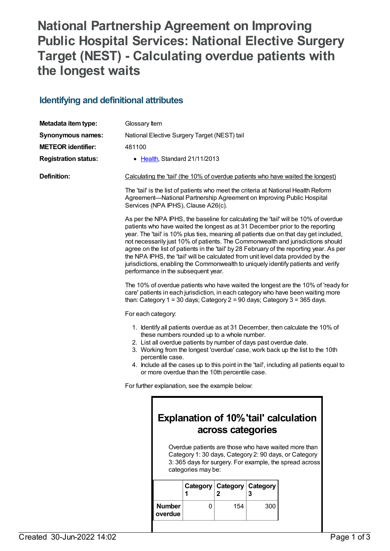# **National Partnership Agreement on Improving Public Hospital Services: National Elective Surgery Target (NEST) - Calculating overdue patients with the longest waits**

## **Identifying and definitional attributes**

| Metadata item type:         | Glossary Item                                                                                                                                                                                                                                                                                                                                                                                                                                                                                                                                                                                                                                                |                                                                                                                                                                                                                                                                     |                               |               |               |  |  |
|-----------------------------|--------------------------------------------------------------------------------------------------------------------------------------------------------------------------------------------------------------------------------------------------------------------------------------------------------------------------------------------------------------------------------------------------------------------------------------------------------------------------------------------------------------------------------------------------------------------------------------------------------------------------------------------------------------|---------------------------------------------------------------------------------------------------------------------------------------------------------------------------------------------------------------------------------------------------------------------|-------------------------------|---------------|---------------|--|--|
| <b>Synonymous names:</b>    | National Elective Surgery Target (NEST) tail                                                                                                                                                                                                                                                                                                                                                                                                                                                                                                                                                                                                                 |                                                                                                                                                                                                                                                                     |                               |               |               |  |  |
| <b>METEOR identifier:</b>   | 481100                                                                                                                                                                                                                                                                                                                                                                                                                                                                                                                                                                                                                                                       |                                                                                                                                                                                                                                                                     |                               |               |               |  |  |
| <b>Registration status:</b> |                                                                                                                                                                                                                                                                                                                                                                                                                                                                                                                                                                                                                                                              |                                                                                                                                                                                                                                                                     | • Health, Standard 21/11/2013 |               |               |  |  |
| <b>Definition:</b>          | Calculating the 'tail' (the 10% of overdue patients who have waited the longest)                                                                                                                                                                                                                                                                                                                                                                                                                                                                                                                                                                             |                                                                                                                                                                                                                                                                     |                               |               |               |  |  |
|                             | The 'tail' is the list of patients who meet the criteria at National Health Reform<br>Agreement-National Partnership Agreement on Improving Public Hospital<br>Services (NPA IPHS), Clause A26(c).                                                                                                                                                                                                                                                                                                                                                                                                                                                           |                                                                                                                                                                                                                                                                     |                               |               |               |  |  |
|                             | As per the NPA IPHS, the baseline for calculating the 'tail' will be 10% of overdue<br>patients who have waited the longest as at 31 December prior to the reporting<br>year. The 'tail' is 10% plus ties, meaning all patients due on that day get included,<br>not necessarily just 10% of patients. The Commonwealth and jurisdictions should<br>agree on the list of patients in the 'tail' by 28 February of the reporting year. As per<br>the NPA IPHS, the 'tail' will be calculated from unit level data provided by the<br>jurisdictions, enabling the Commonwealth to uniquely identify patients and verify<br>performance in the subsequent year. |                                                                                                                                                                                                                                                                     |                               |               |               |  |  |
|                             | The 10% of overdue patients who have waited the longest are the 10% of 'ready for<br>care' patients in each jurisdiction, in each category who have been waiting more<br>than: Category $1 = 30$ days; Category $2 = 90$ days; Category $3 = 365$ days.                                                                                                                                                                                                                                                                                                                                                                                                      |                                                                                                                                                                                                                                                                     |                               |               |               |  |  |
|                             | For each category:<br>1. Identify all patients overdue as at 31 December, then calculate the 10% of<br>these numbers rounded up to a whole number.<br>2. List all overdue patients by number of days past overdue date.<br>3. Working from the longest 'overdue' case, work back up the list to the 10th<br>percentile case.<br>4. Include all the cases up to this point in the 'tail', including all patients equal to<br>or more overdue than the 10th percentile case.                                                                                                                                                                                   |                                                                                                                                                                                                                                                                     |                               |               |               |  |  |
|                             |                                                                                                                                                                                                                                                                                                                                                                                                                                                                                                                                                                                                                                                              |                                                                                                                                                                                                                                                                     |                               |               |               |  |  |
|                             | For further explanation, see the example below:                                                                                                                                                                                                                                                                                                                                                                                                                                                                                                                                                                                                              |                                                                                                                                                                                                                                                                     |                               |               |               |  |  |
|                             |                                                                                                                                                                                                                                                                                                                                                                                                                                                                                                                                                                                                                                                              | <b>Explanation of 10% 'tail' calculation</b><br>across categories<br>Overdue patients are those who have waited more than<br>Category 1: 30 days, Category 2: 90 days, or Category<br>3: 365 days for surgery. For example, the spread across<br>categories may be: |                               |               |               |  |  |
|                             |                                                                                                                                                                                                                                                                                                                                                                                                                                                                                                                                                                                                                                                              |                                                                                                                                                                                                                                                                     | Category<br>1                 | Category<br>2 | Category<br>3 |  |  |
|                             |                                                                                                                                                                                                                                                                                                                                                                                                                                                                                                                                                                                                                                                              | <b>Number</b><br>overdue                                                                                                                                                                                                                                            | 0                             | 154           | 300           |  |  |
|                             |                                                                                                                                                                                                                                                                                                                                                                                                                                                                                                                                                                                                                                                              |                                                                                                                                                                                                                                                                     |                               |               |               |  |  |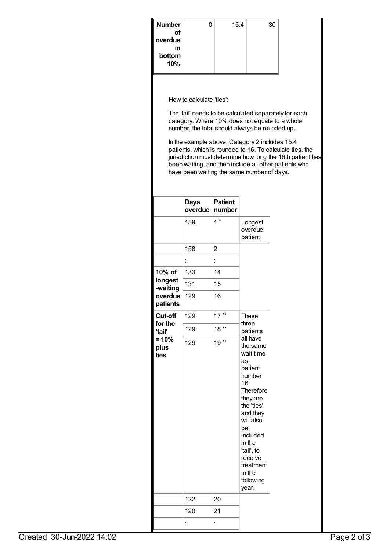| Number    | 0 | 15.4 | 30 |
|-----------|---|------|----|
| <b>of</b> |   |      |    |
| overdue   |   |      |    |
| in        |   |      |    |
| bottom    |   |      |    |
| 10%       |   |      |    |
|           |   |      |    |

How to calculate 'ties':

The 'tail' needs to be calculated separately for each category. Where 10% does not equate to a whole number, the total should always be rounded up.

In the example above, Category 2 includes 15.4 patients, which is rounded to 16. To calculate ties, the jurisdiction must determine how long the 16th patient has been waiting, and then include all other patients who have been waiting the same number of days.

|                         | <b>Days</b><br>overdue | <b>Patient</b><br>number |                                                                                                                                                                                                                                       |  |
|-------------------------|------------------------|--------------------------|---------------------------------------------------------------------------------------------------------------------------------------------------------------------------------------------------------------------------------------|--|
|                         | 159                    | $1^*$                    | Longest<br>overdue<br>patient                                                                                                                                                                                                         |  |
|                         | 158                    | $\overline{2}$           |                                                                                                                                                                                                                                       |  |
|                         |                        |                          |                                                                                                                                                                                                                                       |  |
| 10% of                  | 133                    | 14                       |                                                                                                                                                                                                                                       |  |
| longest<br>-waiting     | 131                    | 15                       |                                                                                                                                                                                                                                       |  |
| overdue<br>patients     | 129                    | 16                       |                                                                                                                                                                                                                                       |  |
| Cut-off                 | 129                    | 17                       | <b>These</b>                                                                                                                                                                                                                          |  |
| for the<br>'tail'       | 129                    | 18                       | three<br>patients                                                                                                                                                                                                                     |  |
| $= 10%$<br>plus<br>ties | 129                    | 19                       | all have<br>the same<br>wait time<br>as<br>patient<br>number<br>16.<br>Therefore<br>they are<br>the 'ties'<br>and they<br>will also<br>be<br>included<br>in the<br>'tail', to<br>receive<br>treatment<br>in the<br>following<br>year. |  |
|                         | 122                    | 20                       |                                                                                                                                                                                                                                       |  |
|                         | 120                    | 21                       |                                                                                                                                                                                                                                       |  |
|                         |                        |                          |                                                                                                                                                                                                                                       |  |